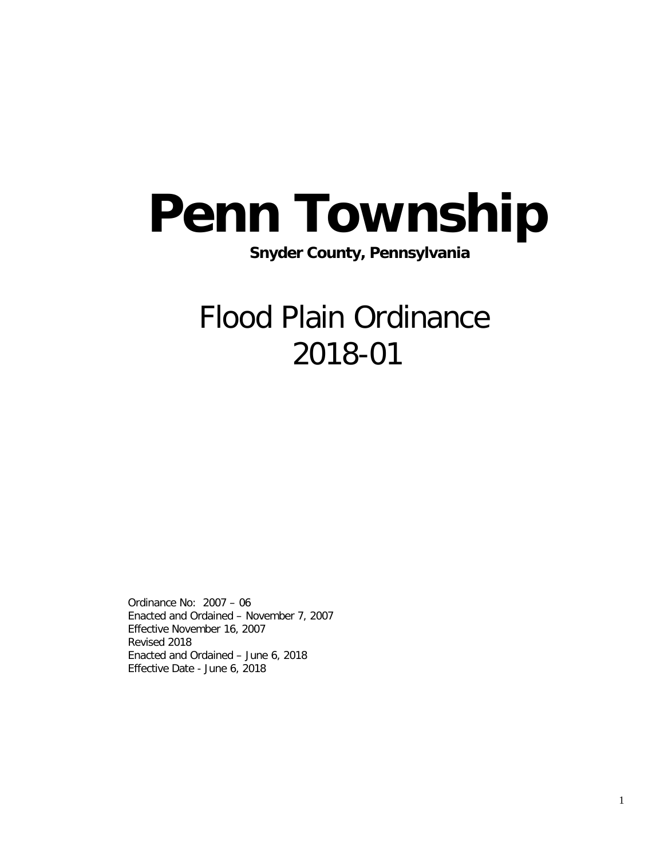# Penn Township<br>Snyder County, Pennsylvania

## Flood Plain Ordinance 2018-01

Ordinance No: 2007 – 06 Enacted and Ordained – November 7, 2007 Effective November 16, 2007 Revised 2018 Enacted and Ordained – June 6, 2018 Effective Date - June 6, 2018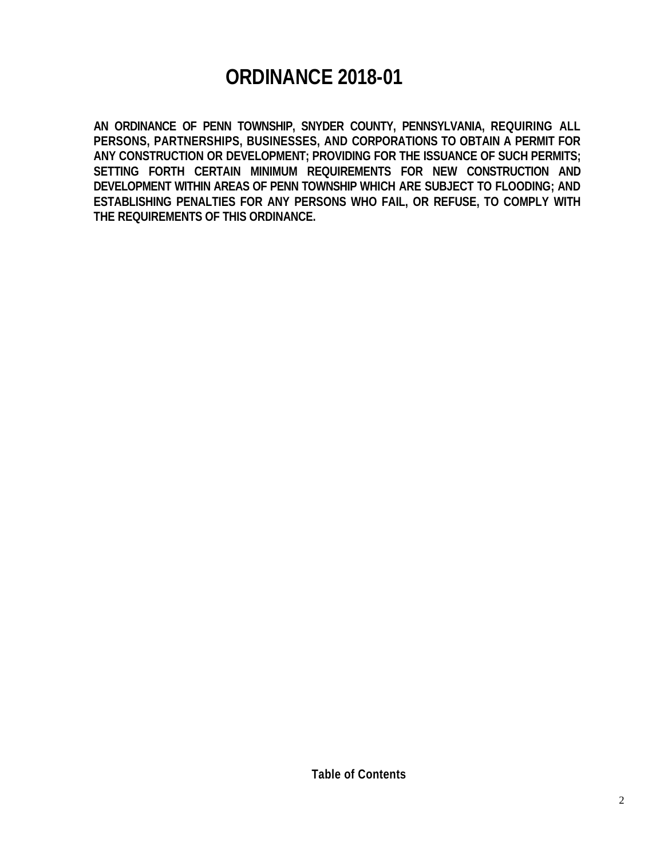### **ORDINANCE 2018-01**

**AN ORDINANCE OF PENN TOWNSHIP, SNYDER COUNTY, PENNSYLVANIA, REQUIRING ALL PERSONS, PARTNERSHIPS, BUSINESSES, AND CORPORATIONS TO OBTAIN A PERMIT FOR ANY CONSTRUCTION OR DEVELOPMENT; PROVIDING FOR THE ISSUANCE OF SUCH PERMITS; SETTING FORTH CERTAIN MINIMUM REQUIREMENTS FOR NEW CONSTRUCTION AND DEVELOPMENT WITHIN AREAS OF PENN TOWNSHIP WHICH ARE SUBJECT TO FLOODING; AND ESTABLISHING PENALTIES FOR ANY PERSONS WHO FAIL, OR REFUSE, TO COMPLY WITH THE REQUIREMENTS OF THIS ORDINANCE.**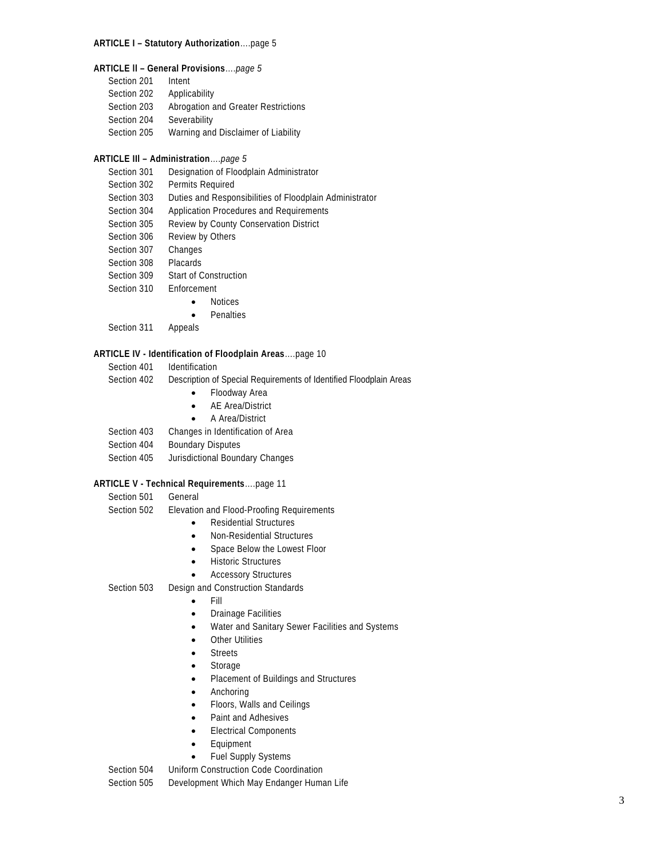#### **ARTICLE I – Statutory Authorization**….page 5

- **ARTICLE ll – General Provisions**….*page 5*
	- Section 201 Intent
	- Section 202 Applicability
	- Section 203 Abrogation and Greater Restrictions
	- Section 204 Severability
	- Section 205 Warning and Disclaimer of Liability

#### **ARTICLE IIl – Administration**….*page 5*

- Section 301 Designation of Floodplain Administrator
- Section 302 Permits Required
- Section 303 Duties and Responsibilities of Floodplain Administrator
- Section 304 Application Procedures and Requirements
- Section 305 Review by County Conservation District
- Section 306 Review by Others
- Section 307 Changes
- Section 308 Placards
- Section 309 Start of Construction
- Section 310 Enforcement
	- Notices
	- Penalties
- Section 311 Appeals

#### **ARTICLE IV - Identification of Floodplain Areas**….page 10

- Section 401 Identification
- Section 402 Description of Special Requirements of Identified Floodplain Areas
	- Floodway Area
	- AE Area/District
	- A Area/District
- Section 403 Changes in Identification of Area
- Section 404 Boundary Disputes
- Section 405 Jurisdictional Boundary Changes

#### **ARTICLE V - Technical Requirements**….page 11

Section 501 General

- Section 502 Elevation and Flood-Proofing Requirements
	- Residential Structures
	- Non-Residential Structures
	- Space Below the Lowest Floor
	- Historic Structures
	- **Accessory Structures**
- Section 503 Design and Construction Standards
	- Fill
	- Drainage Facilities
	- Water and Sanitary Sewer Facilities and Systems
	- **Other Utilities**
	- **Streets**
	- **Storage**
	- Placement of Buildings and Structures
	- Anchoring
	- Floors, Walls and Ceilings
	- Paint and Adhesives
	- Electrical Components
	- **Equipment**
	- Fuel Supply Systems

Section 504 Uniform Construction Code Coordination

Section 505 Development Which May Endanger Human Life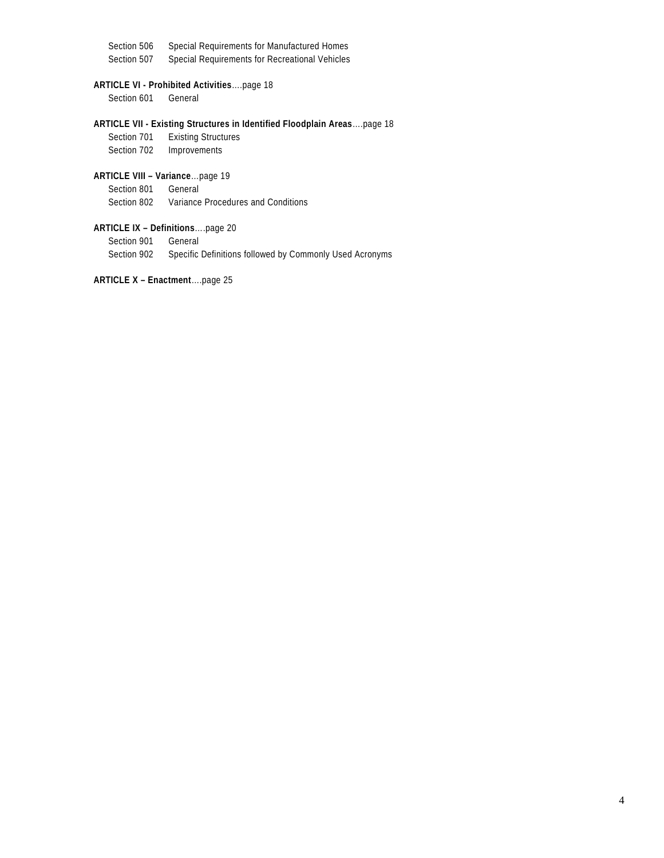Section 506 Special Requirements for Manufactured Homes Section 507 Special Requirements for Recreational Vehicles

#### **ARTICLE VI - Prohibited Activities**….page 18

Section 601 General

#### **ARTICLE VII - Existing Structures in Identified Floodplain Areas**….page 18

Section 701 Existing Structures Section 702 Improvements

#### **ARTICLE VIII – Variance**…page 19

Section 801 General

Section 802 Variance Procedures and Conditions

#### **ARTICLE IX – Definitions**….page 20 Section 901 General Section 902 Specific Definitions followed by Commonly Used Acronyms

#### **ARTICLE X – Enactment**….page 25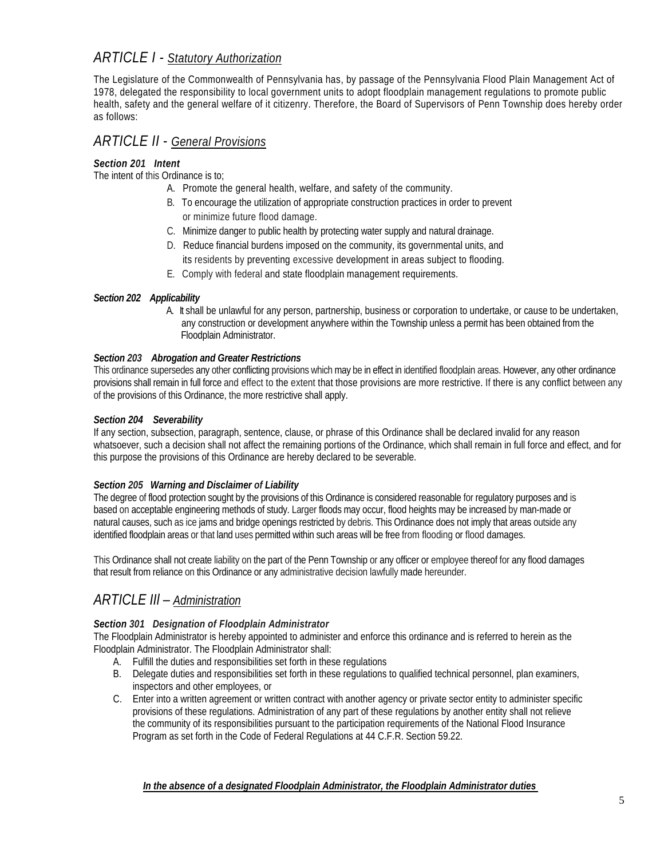#### *ARTICLE I - Statutory Authorization*

The Legislature of the Commonwealth of Pennsylvania has, by passage of the Pennsylvania Flood Plain Management Act of 1978, delegated the responsibility to local government units to adopt floodplain management regulations to promote public health, safety and the general welfare of it citizenry. Therefore, the Board of Supervisors of Penn Township does hereby order as follows:

#### *ARTICLE II - General Provisions*

#### *Section 201 Intent*

The intent of this Ordinance is to;

- A. Promote the general health, welfare, and safety of the community.
- B. To encourage the utilization of appropriate construction practices in order to prevent or minimize future flood damage.
- C. Minimize danger to public health by protecting water supply and natural drainage.
- D. Reduce financial burdens imposed on the community, its governmental units, and its residents by preventing excessive development in areas subject to flooding.
- E. Comply with federal and state floodplain management requirements.

#### *Section 202 Applicability*

A. It shall be unlawful for any person, partnership, business or corporation to undertake, or cause to be undertaken, any construction or development anywhere within the Township unless a permit has been obtained from the Floodplain Administrator.

#### *Section 203 Abrogation and Greater Restrictions*

This ordinance supersedes any other conflicting provisions which may be in effect in identified floodplain areas. However, any other ordinance provisions shall remain in full force and effect to the extent that those provisions are more restrictive. If there is any conflict between any of the provisions of this Ordinance, the more restrictive shall apply.

#### *Section 204 Severability*

If any section, subsection, paragraph, sentence, clause, or phrase of this Ordinance shall be declared invalid for any reason whatsoever, such a decision shall not affect the remaining portions of the Ordinance, which shall remain in full force and effect, and for this purpose the provisions of this Ordinance are hereby declared to be severable.

#### *Section 205 Warning and Disclaimer of Liability*

The degree of flood protection sought by the provisions of this Ordinance is considered reasonable for regulatory purposes and is based on acceptable engineering methods of study. Larger floods may occur, flood heights may be increased by man-made or natural causes, such as ice jams and bridge openings restricted by debris. This Ordinance does not imply that areas outside any identified floodplain areas or that land uses permitted within such areas will be free from flooding or flood damages.

This Ordinance shall not create liability on the part of the Penn Township or any officer or employee thereof for any flood damages that result from reliance on this Ordinance or any administrative decision lawfully made hereunder.

#### *ARTICLE IIl – Administration*

#### *Section 301 Designation of Floodplain Administrator*

The Floodplain Administrator is hereby appointed to administer and enforce this ordinance and is referred to herein as the Floodplain Administrator. The Floodplain Administrator shall:

- A. Fulfill the duties and responsibilities set forth in these regulations
- B. Delegate duties and responsibilities set forth in these regulations to qualified technical personnel, plan examiners, inspectors and other employees, or
- C. Enter into a written agreement or written contract with another agency or private sector entity to administer specific provisions of these regulations. Administration of any part of these regulations by another entity shall not relieve the community of its responsibilities pursuant to the participation requirements of the National Flood Insurance Program as set forth in the Code of Federal Regulations at 44 C.F.R. Section 59.22.

*In the absence of a designated Floodplain Administrator, the Floodplain Administrator duties*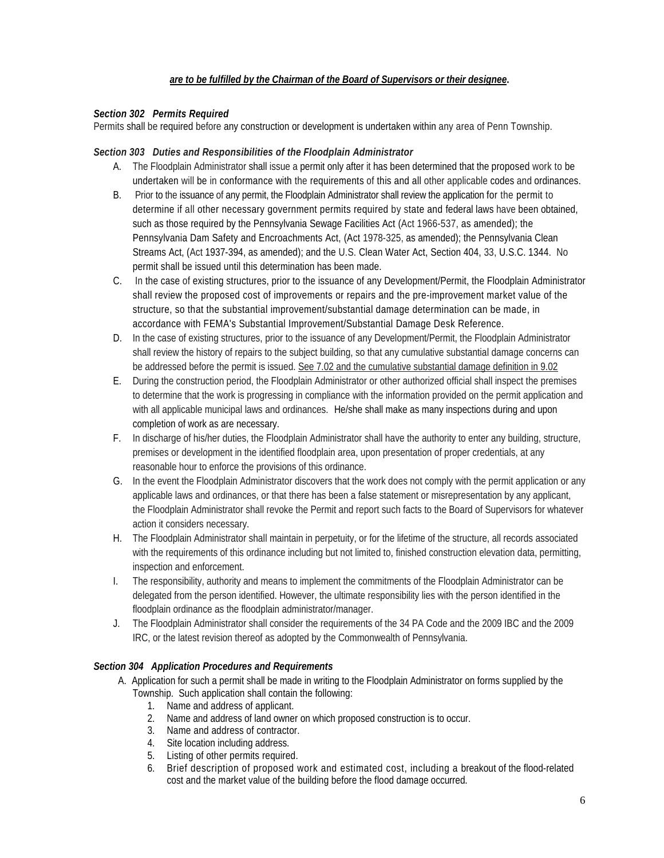#### *are to be fulfilled by the Chairman of the Board of Supervisors or their designee***.**

#### *Section 302 Permits Required*

Permits shall be required before any construction or development is undertaken within any area of Penn Township.

#### *Section 303 Duties and Responsibilities of the Floodplain Administrator*

- A. The Floodplain Administrator shall issue a permit only after it has been determined that the proposed work to be undertaken will be in conformance with the requirements of this and all other applicable codes and ordinances.
- B. Prior to the issuance of any permit, the Floodplain Administrator shall review the application for the permit to determine if all other necessary government permits required by state and federal laws have been obtained, such as those required by the Pennsylvania Sewage Facilities Act (Act 1966-537, as amended); the Pennsylvania Dam Safety and Encroachments Act, (Act 1978-325, as amended); the Pennsylvania Clean Streams Act, (Act 1937-394, as amended); and the U.S. Clean Water Act, Section 404, 33, U.S.C. 1344. No permit shall be issued until this determination has been made.
- C. In the case of existing structures, prior to the issuance of any Development/Permit, the Floodplain Administrator shall review the proposed cost of improvements or repairs and the pre-improvement market value of the structure, so that the substantial improvement/substantial damage determination can be made, in accordance with FEMA's Substantial Improvement/Substantial Damage Desk Reference.
- D. In the case of existing structures, prior to the issuance of any Development/Permit, the Floodplain Administrator shall review the history of repairs to the subject building, so that any cumulative substantial damage concerns can be addressed before the permit is issued. See 7.02 and the cumulative substantial damage definition in 9.02
- E. During the construction period, the Floodplain Administrator or other authorized official shall inspect the premises to determine that the work is progressing in compliance with the information provided on the permit application and with all applicable municipal laws and ordinances.He/she shall make as many inspections during and upon completion of work as are necessary.
- F. In discharge of his/her duties, the Floodplain Administrator shall have the authority to enter any building, structure, premises or development in the identified floodplain area, upon presentation of proper credentials, at any reasonable hour to enforce the provisions of this ordinance.
- G. In the event the Floodplain Administrator discovers that the work does not comply with the permit application or any applicable laws and ordinances, or that there has been a false statement or misrepresentation by any applicant, the Floodplain Administrator shall revoke the Permit and report such facts to the Board of Supervisors for whatever action it considers necessary.
- H. The Floodplain Administrator shall maintain in perpetuity, or for the lifetime of the structure, all records associated with the requirements of this ordinance including but not limited to, finished construction elevation data, permitting, inspection and enforcement.
- I. The responsibility, authority and means to implement the commitments of the Floodplain Administrator can be delegated from the person identified. However, the ultimate responsibility lies with the person identified in the floodplain ordinance as the floodplain administrator/manager.
- J. The Floodplain Administrator shall consider the requirements of the 34 PA Code and the 2009 IBC and the 2009 IRC, or the latest revision thereof as adopted by the Commonwealth of Pennsylvania.

#### *Section 304 Application Procedures and Requirements*

- A. Application for such a permit shall be made in writing to the Floodplain Administrator on forms supplied by the Township. Such application shall contain the following:
	- 1. Name and address of applicant.
	- 2. Name and address of land owner on which proposed construction is to occur.
	- 3. Name and address of contractor.
	- 4. Site location including address.
	- 5. Listing of other permits required.
	- 6. Brief description of proposed work and estimated cost, including a breakout of the flood-related cost and the market value of the building before the flood damage occurred.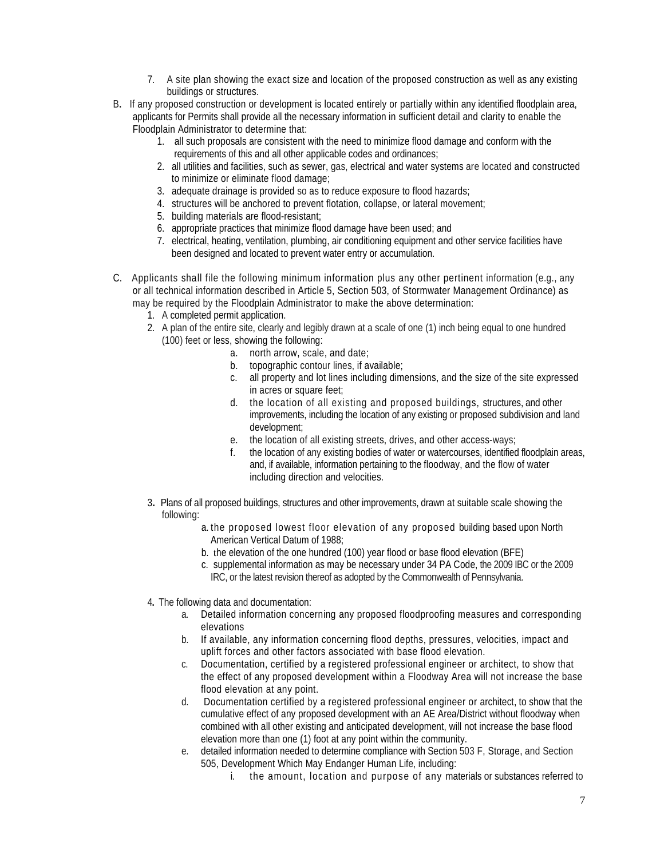- 7. A site plan showing the exact size and location of the proposed construction as well as any existing buildings or structures.
- B**.** If any proposed construction or development is located entirely or partially within any identified floodplain area, applicants for Permits shall provide all the necessary information in sufficient detail and clarity to enable the Floodplain Administrator to determine that:
	- 1. all such proposals are consistent with the need to minimize flood damage and conform with the requirements of this and all other applicable codes and ordinances;
	- 2. all utilities and facilities, such as sewer, gas, electrical and water systems are located and constructed to minimize or eliminate flood damage;
	- 3. adequate drainage is provided so as to reduce exposure to flood hazards;
	- 4. structures will be anchored to prevent flotation, collapse, or lateral movement;
	- 5. building materials are flood-resistant;
	- 6. appropriate practices that minimize flood damage have been used; and
	- 7. electrical, heating, ventilation, plumbing, air conditioning equipment and other service facilities have been designed and located to prevent water entry or accumulation.
- C.Applicants shall file the following minimum information plus any other pertinent information (e.g., any or all technical information described in Article 5, Section 503, of Stormwater Management Ordinance) as may be required by the Floodplain Administrator to make the above determination:
	- 1. A completed permit application.
	- 2. A plan of the entire site, clearly and legibly drawn at a scale of one (1) inch being equal to one hundred (100) feet or less, showing the following:
		- a. north arrow, scale, and date;
			- b. topographic contour lines, if available;
			- c. all property and lot lines including dimensions, and the size of the site expressed in acres or square feet;
			- d. the location of all existing and proposed buildings, structures, and other improvements, including the location of any existing or proposed subdivision and land development;
			- e. the location of all existing streets, drives, and other access-ways;
			- f. the location of any existing bodies of water or watercourses, identified floodplain areas, and, if available, information pertaining to the floodway, and the flow of water including direction and velocities.
	- 3**.** Plans of all proposed buildings, structures and other improvements, drawn at suitable scale showing the following:
		- a. the proposed lowest floor elevation of any proposed building based upon North American Vertical Datum of 1988;
		- b. the elevation of the one hundred (100) year flood or base flood elevation (BFE)
		- c. supplemental information as may be necessary under 34 PA Code, the 2009 IBC or the 2009 IRC, or the latest revision thereof as adopted by the Commonwealth of Pennsylvania.
	- 4**.** The following data and documentation:
		- a. Detailed information concerning any proposed floodproofing measures and corresponding elevations
		- b. If available, any information concerning flood depths, pressures, velocities, impact and uplift forces and other factors associated with base flood elevation.
		- c. Documentation, certified by a registered professional engineer or architect, to show that the effect of any proposed development within a Floodway Area will not increase the base flood elevation at any point.
		- d. Documentation certified by a registered professional engineer or architect, to show that the cumulative effect of any proposed development with an AE Area/District without floodway when combined with all other existing and anticipated development, will not increase the base flood elevation more than one (1) foot at any point within the community.
		- e. detailed information needed to determine compliance with Section 503 F, Storage, and Section 505, Development Which May Endanger Human Life, including:
			- i. the amount, location and purpose of any materials or substances referred to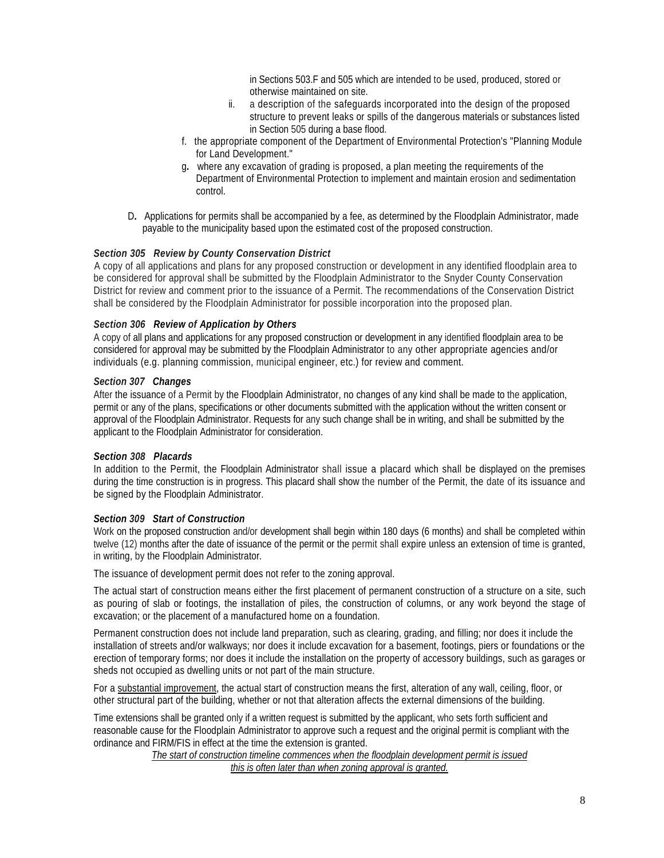in Sections 503.F and 505 which are intended to be used, produced, stored or otherwise maintained on site.

- ii. a description of the safeguards incorporated into the design of the proposed structure to prevent leaks or spills of the dangerous materials or substances listed in Section 505 during a base flood.
- f. the appropriate component of the Department of Environmental Protection's "Planning Module for Land Development."
- g**.** where any excavation of grading is proposed, a plan meeting the requirements of the Department of Environmental Protection to implement and maintain erosion and sedimentation control.
- D**.** Applications for permits shall be accompanied by a fee, as determined by the Floodplain Administrator, made payable to the municipality based upon the estimated cost of the proposed construction.

#### *Section 305 Review by County Conservation District*

A copy of all applications and plans for any proposed construction or development in any identified floodplain area to be considered for approval shall be submitted by the Floodplain Administrator to the Snyder County Conservation District for review and comment prior to the issuance of a Permit. The recommendations of the Conservation District shall be considered by the Floodplain Administrator for possible incorporation into the proposed plan.

#### *Section 306 Review of Application by Others*

A copy of all plans and applications for any proposed construction or development in any identified floodplain area to be considered for approval may be submitted by the Floodplain Administrator to any other appropriate agencies and/or individuals (e.g. planning commission, municipal engineer, etc.) for review and comment.

#### *Section 307 Changes*

After the issuance of a Permit by the Floodplain Administrator, no changes of any kind shall be made to the application, permit or any of the plans, specifications or other documents submitted with the application without the written consent or approval of the Floodplain Administrator. Requests for any such change shall be in writing, and shall be submitted by the applicant to the Floodplain Administrator for consideration.

#### *Section 308 Placards*

In addition to the Permit, the Floodplain Administrator shall issue a placard which shall be displayed on the premises during the time construction is in progress. This placard shall show the number of the Permit, the date of its issuance and be signed by the Floodplain Administrator.

#### *Section 309 Start of Construction*

Work on the proposed construction and/or development shall begin within 180 days (6 months) and shall be completed within twelve (12) months after the date of issuance of the permit or the permit shall expire unless an extension of time is granted, in writing, by the Floodplain Administrator.

The issuance of development permit does not refer to the zoning approval.

The actual start of construction means either the first placement of permanent construction of a structure on a site, such as pouring of slab or footings, the installation of piles, the construction of columns, or any work beyond the stage of excavation; or the placement of a manufactured home on a foundation.

Permanent construction does not include land preparation, such as clearing, grading, and filling; nor does it include the installation of streets and/or walkways; nor does it include excavation for a basement, footings, piers or foundations or the erection of temporary forms; nor does it include the installation on the property of accessory buildings, such as garages or sheds not occupied as dwelling units or not part of the main structure.

For a substantial improvement, the actual start of construction means the first, alteration of any wall, ceiling, floor, or other structural part of the building, whether or not that alteration affects the external dimensions of the building.

Time extensions shall be granted only if a written request is submitted by the applicant, who sets forth sufficient and reasonable cause for the Floodplain Administrator to approve such a request and the original permit is compliant with the ordinance and FIRM/FIS in effect at the time the extension is granted.

*The start of construction timeline commences when the floodplain development permit is issued this is often later than when zoning approval is granted.*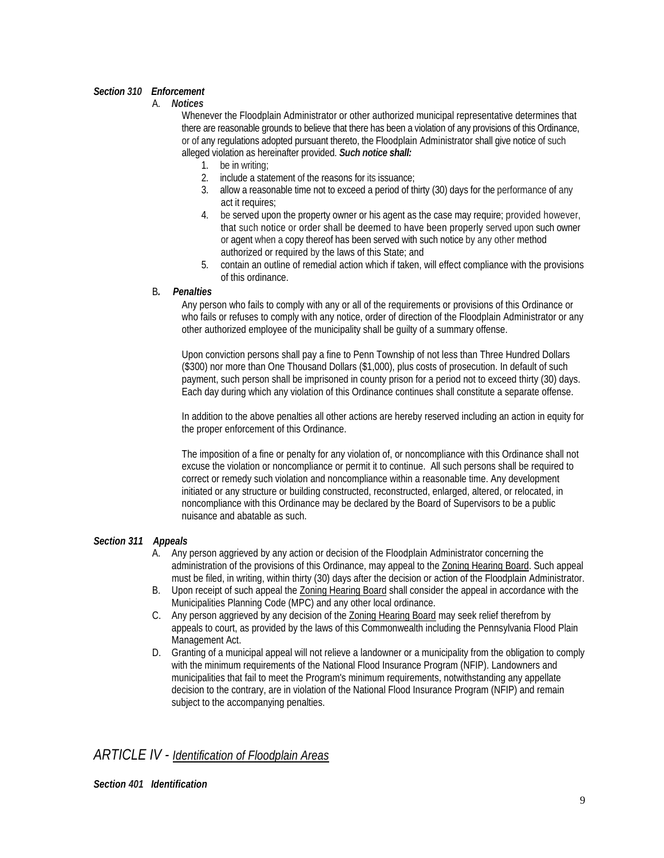#### *Section 310 Enforcement*

A. *Notices*

Whenever the Floodplain Administrator or other authorized municipal representative determines that there are reasonable grounds to believe that there has been a violation of any provisions of this Ordinance, or of any regulations adopted pursuant thereto, the Floodplain Administrator shall give notice of such alleged violation as hereinafter provided. *Such notice shall:*

- 1. be in writing;
- 2. include a statement of the reasons for its issuance;
- 3. allow a reasonable time not to exceed a period of thirty (30) days for the performance of any act it requires:
- 4. be served upon the property owner or his agent as the case may require; provided however, that such notice or order shall be deemed to have been properly served upon such owner or agent when a copy thereof has been served with such notice by any other method authorized or required by the laws of this State; and
- 5. contain an outline of remedial action which if taken, will effect compliance with the provisions of this ordinance.

#### B*. Penalties*

Any person who fails to comply with any or all of the requirements or provisions of this Ordinance or who fails or refuses to comply with any notice, order of direction of the Floodplain Administrator or any other authorized employee of the municipality shall be guilty of a summary offense.

Upon conviction persons shall pay a fine to Penn Township of not less than Three Hundred Dollars (\$300) nor more than One Thousand Dollars (\$1,000), plus costs of prosecution. In default of such payment, such person shall be imprisoned in county prison for a period not to exceed thirty (30) days. Each day during which any violation of this Ordinance continues shall constitute a separate offense.

In addition to the above penalties all other actions are hereby reserved including an action in equity for the proper enforcement of this Ordinance.

The imposition of a fine or penalty for any violation of, or noncompliance with this Ordinance shall not excuse the violation or noncompliance or permit it to continue. All such persons shall be required to correct or remedy such violation and noncompliance within a reasonable time. Any development initiated or any structure or building constructed, reconstructed, enlarged, altered, or relocated, in noncompliance with this Ordinance may be declared by the Board of Supervisors to be a public nuisance and abatable as such.

#### *Section 311 Appeals*

- A. Any person aggrieved by any action or decision of the Floodplain Administrator concerning the administration of the provisions of this Ordinance, may appeal to the Zoning Hearing Board. Such appeal must be filed, in writing, within thirty (30) days after the decision or action of the Floodplain Administrator.
- B. Upon receipt of such appeal the Zoning Hearing Board shall consider the appeal in accordance with the Municipalities Planning Code (MPC) and any other local ordinance.
- C. Any person aggrieved by any decision of the Zoning Hearing Board may seek relief therefrom by appeals to court, as provided by the laws of this Commonwealth including the Pennsylvania Flood Plain Management Act.
- D. Granting of a municipal appeal will not relieve a landowner or a municipality from the obligation to comply with the minimum requirements of the National Flood Insurance Program (NFIP). Landowners and municipalities that fail to meet the Program's minimum requirements, notwithstanding any appellate decision to the contrary, are in violation of the National Flood Insurance Program (NFIP) and remain subject to the accompanying penalties.

#### *ARTICLE IV - Identification of Floodplain Areas*

*Section 401 Identification*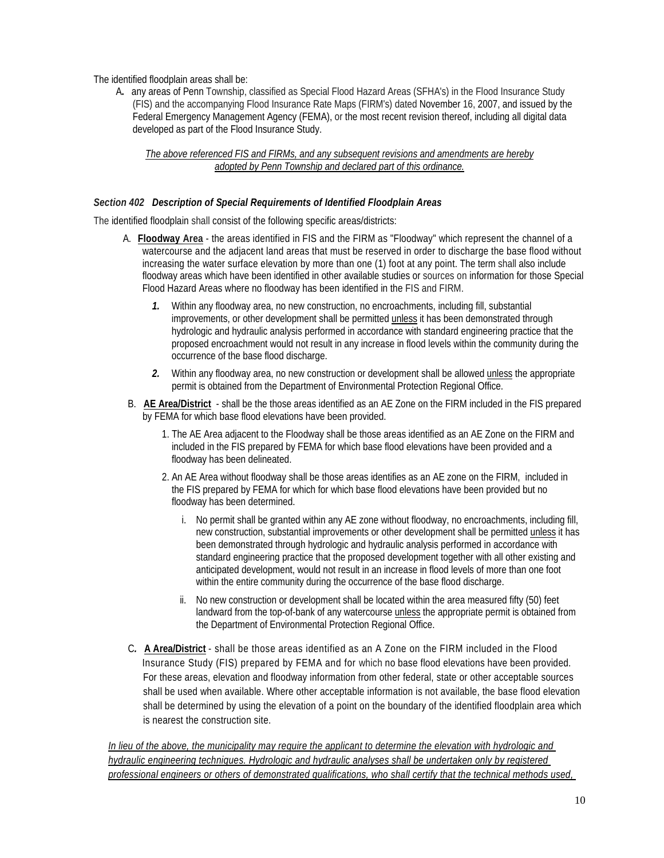The identified floodplain areas shall be:

 A**.** any areas of Penn Township, classified as Special Flood Hazard Areas (SFHA's) in the Flood Insurance Study (FIS) and the accompanying Flood Insurance Rate Maps (FIRM's) dated November 16, 2007, and issued by the Federal Emergency Management Agency (FEMA), or the most recent revision thereof, including all digital data developed as part of the Flood Insurance Study.

#### *The above referenced FIS and FIRMs, and any subsequent revisions and amendments are hereby adopted by Penn Township and declared part of this ordinance.*

#### *Section 402 Description of Special Requirements of Identified Floodplain Areas*

The identified floodplain shall consist of the following specific areas/districts:

- A. **Floodway Area** the areas identified in FIS and the FIRM as "Floodway" which represent the channel of a watercourse and the adjacent land areas that must be reserved in order to discharge the base flood without increasing the water surface elevation by more than one (1) foot at any point. The term shall also include floodway areas which have been identified in other available studies or sources on information for those Special Flood Hazard Areas where no floodway has been identified in the FIS and FIRM.
	- *1.* Within any floodway area, no new construction, no encroachments, including fill, substantial improvements, or other development shall be permitted unless it has been demonstrated through hydrologic and hydraulic analysis performed in accordance with standard engineering practice that the proposed encroachment would not result in any increase in flood levels within the community during the occurrence of the base flood discharge.
	- *2.* Within any floodway area, no new construction or development shall be allowed unless the appropriate permit is obtained from the Department of Environmental Protection Regional Office.
- B.**AE Area/District** shall be the those areas identified as an AE Zone on the FIRM included in the FIS prepared by FEMA for which base flood elevations have been provided.
	- 1. The AE Area adjacent to the Floodway shall be those areas identified as an AE Zone on the FIRM and included in the FIS prepared by FEMA for which base flood elevations have been provided and a floodway has been delineated.
	- 2. An AE Area without floodway shall be those areas identifies as an AE zone on the FIRM, included in the FIS prepared by FEMA for which for which base flood elevations have been provided but no floodway has been determined.
		- i. No permit shall be granted within any AE zone without floodway, no encroachments, including fill, new construction, substantial improvements or other development shall be permitted unless it has been demonstrated through hydrologic and hydraulic analysis performed in accordance with standard engineering practice that the proposed development together with all other existing and anticipated development, would not result in an increase in flood levels of more than one foot within the entire community during the occurrence of the base flood discharge.
		- ii. No new construction or development shall be located within the area measured fifty (50) feet landward from the top-of-bank of any watercourse unless the appropriate permit is obtained from the Department of Environmental Protection Regional Office.
- C*.* **A Area/District** shall be those areas identified as an A Zone on the FIRM included in the Flood Insurance Study (FIS) prepared by FEMA and for which no base flood elevations have been provided. For these areas, elevation and floodway information from other federal, state or other acceptable sources shall be used when available. Where other acceptable information is not available, the base flood elevation shall be determined by using the elevation of a point on the boundary of the identified floodplain area which is nearest the construction site.

*In lieu of the above, the municipality may require the applicant to determine the elevation with hydrologic and hydraulic engineering techniques. Hydrologic and hydraulic analyses shall be undertaken only by registered professional engineers or others of demonstrated qualifications, who shall certify that the technical methods used,*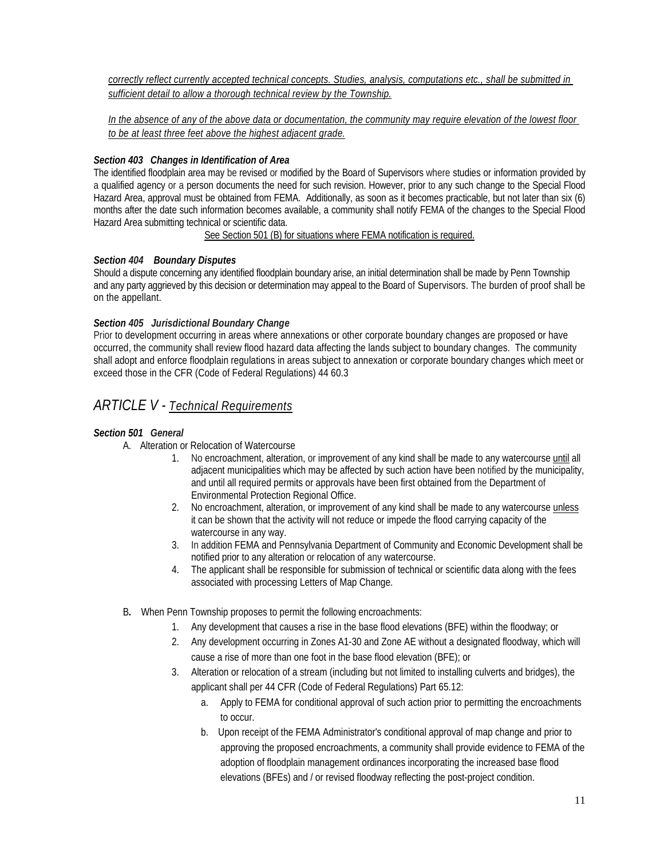*correctly reflect currently accepted technical concepts. Studies, analysis, computations etc., shall be submitted in sufficient detail to allow a thorough technical review by the Township.*

*In the absence of any of the above data or documentation, the community may require elevation of the lowest floor to be at least three feet above the highest adjacent grade.*

#### *Section 403 Changes in Identification of Area*

The identified floodplain area may be revised or modified by the Board of Supervisors where studies or information provided by a qualified agency or a person documents the need for such revision. However, prior to any such change to the Special Flood Hazard Area, approval must be obtained from FEMA. Additionally, as soon as it becomes practicable, but not later than six (6) months after the date such information becomes available, a community shall notify FEMA of the changes to the Special Flood Hazard Area submitting technical or scientific data.

See Section 501 (B) for situations where FEMA notification is required.

#### *Section 404 Boundary Disputes*

Should a dispute concerning any identified floodplain boundary arise, an initial determination shall be made by Penn Township and any party aggrieved by this decision or determination may appeal to the Board of Supervisors. The burden of proof shall be on the appellant.

#### *Section 405 Jurisdictional Boundary Change*

Prior to development occurring in areas where annexations or other corporate boundary changes are proposed or have occurred, the community shall review flood hazard data affecting the lands subject to boundary changes. The community shall adopt and enforce floodplain regulations in areas subject to annexation or corporate boundary changes which meet or exceed those in the CFR (Code of Federal Regulations) 44 60.3

#### *ARTICLE V - Technical Requirements*

#### *Section 501 General*

- A. Alteration or Relocation of Watercourse
	- 1. No encroachment, alteration, or improvement of any kind shall be made to any watercourse until all adjacent municipalities which may be affected by such action have been notified by the municipality, and until all required permits or approvals have been first obtained from the Department of Environmental Protection Regional Office.
	- 2. No encroachment, alteration, or improvement of any kind shall be made to any watercourse unless it can be shown that the activity will not reduce or impede the flood carrying capacity of the watercourse in any way.
	- 3. In addition FEMA and Pennsylvania Department of Community and Economic Development shall be notified prior to any alteration or relocation of any watercourse.
	- 4. The applicant shall be responsible for submission of technical or scientific data along with the fees associated with processing Letters of Map Change.
- B**.** When Penn Township proposes to permit the following encroachments:
	- 1. Any development that causes a rise in the base flood elevations (BFE) within the floodway; or
	- 2. Any development occurring in Zones A1-30 and Zone AE without a designated floodway, which will cause a rise of more than one foot in the base flood elevation (BFE); or
	- 3. Alteration or relocation of a stream (including but not limited to installing culverts and bridges), the applicant shall per 44 CFR (Code of Federal Regulations) Part 65.12:
		- a. Apply to FEMA for conditional approval of such action prior to permitting the encroachments to occur.
		- b. Upon receipt of the FEMA Administrator's conditional approval of map change and prior to approving the proposed encroachments, a community shall provide evidence to FEMA of the adoption of floodplain management ordinances incorporating the increased base flood elevations (BFEs) and / or revised floodway reflecting the post-project condition.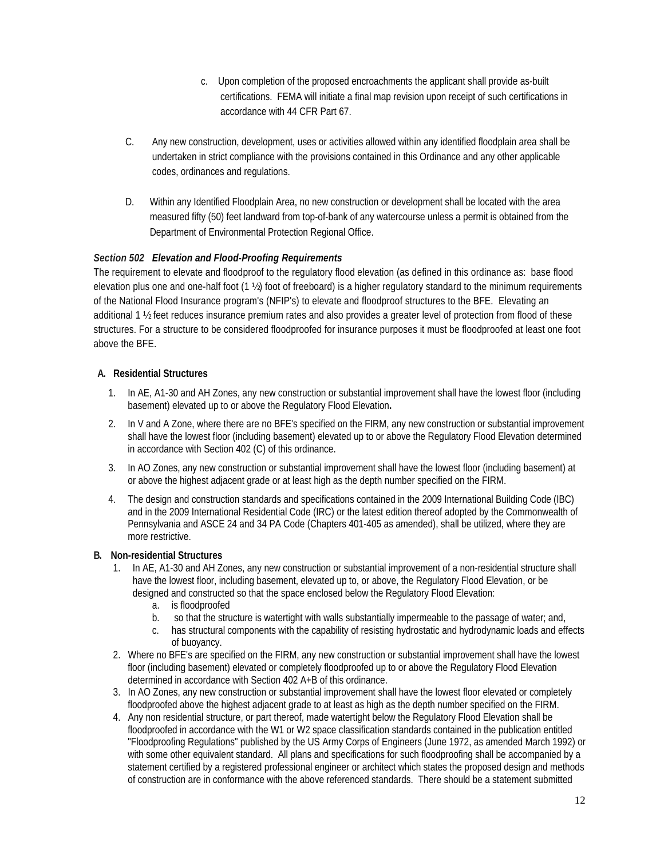- c. Upon completion of the proposed encroachments the applicant shall provide as-built certifications. FEMA will initiate a final map revision upon receipt of such certifications in accordance with 44 CFR Part 67.
- C. Any new construction, development, uses or activities allowed within any identified floodplain area shall be undertaken in strict compliance with the provisions contained in this Ordinance and any other applicable codes, ordinances and regulations.
- D.Within any Identified Floodplain Area, no new construction or development shall be located with the area measured fifty (50) feet landward from top-of-bank of any watercourse unless a permit is obtained from the Department of Environmental Protection Regional Office.

#### *Section 502 Elevation and Flood-Proofing Requirements*

The requirement to elevate and floodproof to the regulatory flood elevation (as defined in this ordinance as: base flood elevation plus one and one-half foot (1 ½) foot of freeboard) is a higher regulatory standard to the minimum requirements of the National Flood Insurance program's (NFIP's) to elevate and floodproof structures to the BFE. Elevating an additional 1 ½ feet reduces insurance premium rates and also provides a greater level of protection from flood of these structures. For a structure to be considered floodproofed for insurance purposes it must be floodproofed at least one foot above the BFE.

#### **A. Residential Structures**

- 1. In AE, A1-30 and AH Zones, any new construction or substantial improvement shall have the lowest floor (including basement) elevated up to or above the Regulatory Flood Elevation**.**
- 2. In V and A Zone, where there are no BFE's specified on the FIRM, any new construction or substantial improvement shall have the lowest floor (including basement) elevated up to or above the Regulatory Flood Elevation determined in accordance with Section 402 (C) of this ordinance.
- 3. In AO Zones, any new construction or substantial improvement shall have the lowest floor (including basement) at or above the highest adjacent grade or at least high as the depth number specified on the FIRM.
- 4. The design and construction standards and specifications contained in the 2009 International Building Code (IBC) and in the 2009 International Residential Code (IRC) or the latest edition thereof adopted by the Commonwealth of Pennsylvania and ASCE 24 and 34 PA Code (Chapters 401-405 as amended), shall be utilized, where they are more restrictive.

#### **B. Non-residential Structures**

- 1. In AE, A1-30 and AH Zones, any new construction or substantial improvement of a non-residential structure shall have the lowest floor, including basement, elevated up to, or above, the Regulatory Flood Elevation, or be designed and constructed so that the space enclosed below the Regulatory Flood Elevation:
	- a. is floodproofed
	- b. so that the structure is watertight with walls substantially impermeable to the passage of water; and,
	- c. has structural components with the capability of resisting hydrostatic and hydrodynamic loads and effects of buoyancy.
- 2. Where no BFE's are specified on the FIRM, any new construction or substantial improvement shall have the lowest floor (including basement) elevated or completely floodproofed up to or above the Regulatory Flood Elevation determined in accordance with Section 402 A+B of this ordinance.
- 3. In AO Zones, any new construction or substantial improvement shall have the lowest floor elevated or completely floodproofed above the highest adjacent grade to at least as high as the depth number specified on the FIRM.
- 4. Any non residential structure, or part thereof, made watertight below the Regulatory Flood Elevation shall be floodproofed in accordance with the W1 or W2 space classification standards contained in the publication entitled "Floodproofing Regulations" published by the US Army Corps of Engineers (June 1972, as amended March 1992) or with some other equivalent standard. All plans and specifications for such floodproofing shall be accompanied by a statement certified by a registered professional engineer or architect which states the proposed design and methods of construction are in conformance with the above referenced standards. There should be a statement submitted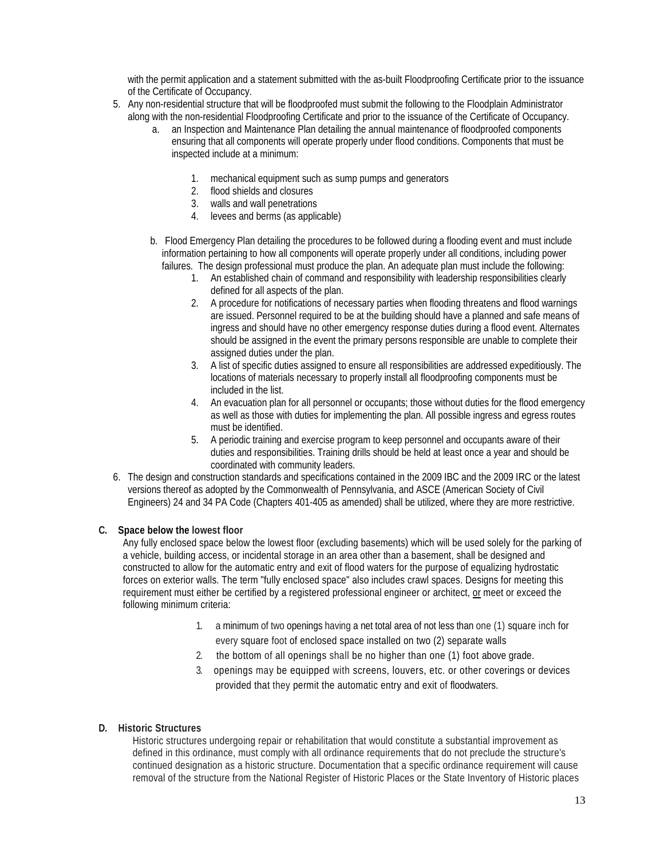with the permit application and a statement submitted with the as-built Floodproofing Certificate prior to the issuance of the Certificate of Occupancy.

- 5. Any non-residential structure that will be floodproofed must submit the following to the Floodplain Administrator along with the non-residential Floodproofing Certificate and prior to the issuance of the Certificate of Occupancy.
	- a. an Inspection and Maintenance Plan detailing the annual maintenance of floodproofed components ensuring that all components will operate properly under flood conditions. Components that must be inspected include at a minimum:
		- 1. mechanical equipment such as sump pumps and generators
		- 2. flood shields and closures
		- 3. walls and wall penetrations
		- 4. levees and berms (as applicable)
	- b. Flood Emergency Plan detailing the procedures to be followed during a flooding event and must include information pertaining to how all components will operate properly under all conditions, including power failures. The design professional must produce the plan. An adequate plan must include the following:
		- 1. An established chain of command and responsibility with leadership responsibilities clearly defined for all aspects of the plan.
		- 2. A procedure for notifications of necessary parties when flooding threatens and flood warnings are issued. Personnel required to be at the building should have a planned and safe means of ingress and should have no other emergency response duties during a flood event. Alternates should be assigned in the event the primary persons responsible are unable to complete their assigned duties under the plan.
		- 3. A list of specific duties assigned to ensure all responsibilities are addressed expeditiously. The locations of materials necessary to properly install all floodproofing components must be included in the list.
		- 4. An evacuation plan for all personnel or occupants; those without duties for the flood emergency as well as those with duties for implementing the plan. All possible ingress and egress routes must be identified.
		- 5. A periodic training and exercise program to keep personnel and occupants aware of their duties and responsibilities. Training drills should be held at least once a year and should be coordinated with community leaders.
- 6. The design and construction standards and specifications contained in the 2009 IBC and the 2009 IRC or the latest versions thereof as adopted by the Commonwealth of Pennsylvania, and ASCE (American Society of Civil Engineers) 24 and 34 PA Code (Chapters 401-405 as amended) shall be utilized, where they are more restrictive.

#### **C***.* **Space below the lowest floor**

Any fully enclosed space below the lowest floor (excluding basements) which will be used solely for the parking of a vehicle, building access, or incidental storage in an area other than a basement, shall be designed and constructed to allow for the automatic entry and exit of flood waters for the purpose of equalizing hydrostatic forces on exterior walls. The term "fully enclosed space" also includes crawl spaces. Designs for meeting this requirement must either be certified by a registered professional engineer or architect, or meet or exceed the following minimum criteria:

- 1. a minimum of two openings having a net total area of not less than one (1) square inch for every square foot of enclosed space installed on two (2) separate walls
- 2. the bottom of all openings shall be no higher than one (1) foot above grade.
- 3. openings may be equipped with screens, louvers, etc. or other coverings or devices provided that they permit the automatic entry and exit of floodwaters.

#### **D***.* **Historic Structures**

Historic structures undergoing repair or rehabilitation that would constitute a substantial improvement as defined in this ordinance, must comply with all ordinance requirements that do not preclude the structure's continued designation as a historic structure. Documentation that a specific ordinance requirement will cause removal of the structure from the National Register of Historic Places or the State Inventory of Historic places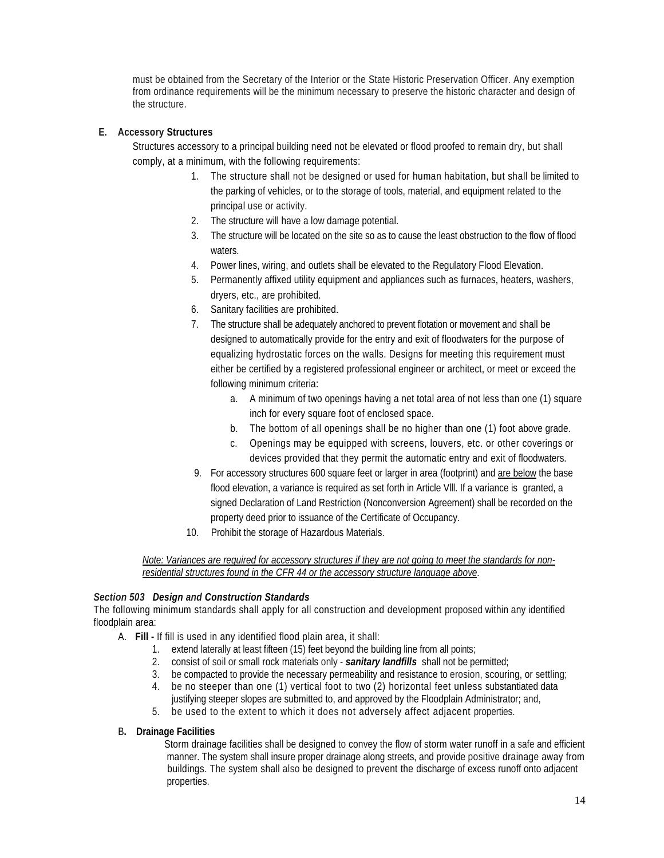must be obtained from the Secretary of the Interior or the State Historic Preservation Officer. Any exemption from ordinance requirements will be the minimum necessary to preserve the historic character and design of the structure.

#### **E. Accessory Structures**

Structures accessory to a principal building need not be elevated or flood proofed to remain dry, but shall comply, at a minimum, with the following requirements:

- 1. The structure shall not be designed or used for human habitation, but shall be limited to the parking of vehicles, or to the storage of tools, material, and equipment related to the principal use or activity.
- 2. The structure will have a low damage potential.
- 3. The structure will be located on the site so as to cause the least obstruction to the flow of flood waters.
- 4. Power lines, wiring, and outlets shall be elevated to the Regulatory Flood Elevation.
- 5. Permanently affixed utility equipment and appliances such as furnaces, heaters, washers, dryers, etc., are prohibited.
- 6. Sanitary facilities are prohibited.
- 7. The structure shall be adequately anchored to prevent flotation or movement and shall be designed to automatically provide for the entry and exit of floodwaters for the purpose of equalizing hydrostatic forces on the walls. Designs for meeting this requirement must either be certified by a registered professional engineer or architect, or meet or exceed the following minimum criteria:
	- a. A minimum of two openings having a net total area of not less than one (1) square inch for every square foot of enclosed space.
	- b. The bottom of all openings shall be no higher than one (1) foot above grade.
	- c. Openings may be equipped with screens, louvers, etc. or other coverings or devices provided that they permit the automatic entry and exit of floodwaters.
- 9. For accessory structures 600 square feet or larger in area (footprint) and are below the base flood elevation, a variance is required as set forth in Article Vlll. If a variance is granted, a signed Declaration of Land Restriction (Nonconversion Agreement) shall be recorded on the property deed prior to issuance of the Certificate of Occupancy.
- 10. Prohibit the storage of Hazardous Materials.

#### *Note: Variances are required for accessory structures if they are not going to meet the standards for nonresidential structures found in the CFR 44 or the accessory structure language above*.

#### *Section 503 Design and Construction Standards*

The following minimum standards shall apply for all construction and development proposed within any identified floodplain area:

- A. **Fill -** If fill is used in any identified flood plain area, it shall:
	- 1. extend laterally at least fifteen (15) feet beyond the building line from all points;
	- 2. consist of soil or small rock materials only *sanitary landfills* shall not be permitted;
	- 3. be compacted to provide the necessary permeability and resistance to erosion, scouring, or settling;
	- 4. be no steeper than one (1) vertical foot to two (2) horizontal feet unless substantiated data
	- justifying steeper slopes are submitted to, and approved by the Floodplain Administrator; and, 5. be used to the extent to which it does not adversely affect adjacent properties.

#### B**. Drainage Facilities**

Storm drainage facilities shall be designed to convey the flow of storm water runoff in a safe and efficient manner. The system shall insure proper drainage along streets, and provide positive drainage away from buildings. The system shall also be designed to prevent the discharge of excess runoff onto adjacent properties.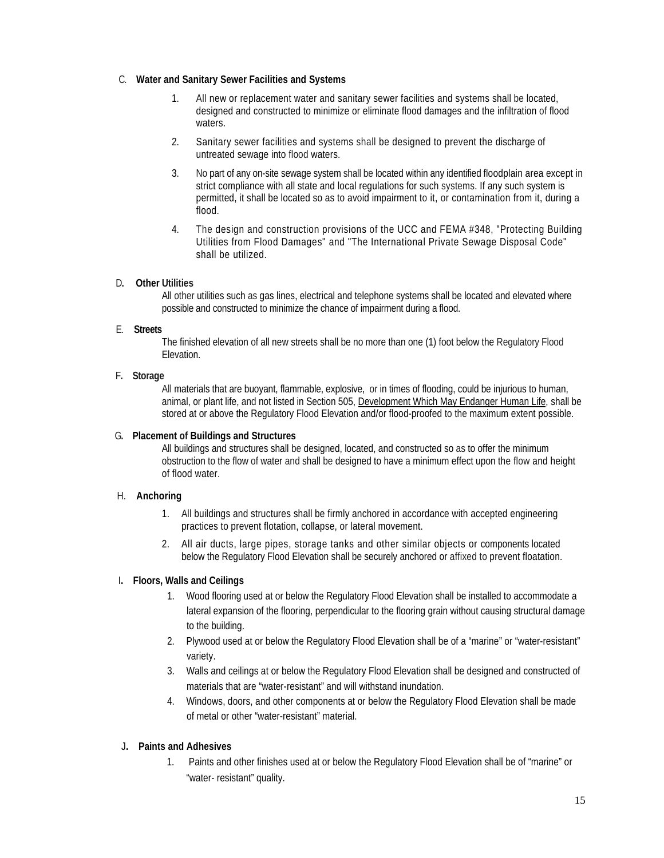#### C.**Water and Sanitary Sewer Facilities and Systems**

- 1. All new or replacement water and sanitary sewer facilities and systems shall be located, designed and constructed to minimize or eliminate flood damages and the infiltration of flood waters.
- 2. Sanitary sewer facilities and systems shall be designed to prevent the discharge of untreated sewage into flood waters.
- 3. No part of any on-site sewage system shall be located within any identified floodplain area except in strict compliance with all state and local regulations for such systems. If any such system is permitted, it shall be located so as to avoid impairment to it, or contamination from it, during a flood.
- 4. The design and construction provisions of the UCC and FEMA #348, "Protecting Building Utilities from Flood Damages" and "The International Private Sewage Disposal Code" shall be utilized.

#### D**.****Other Utilities**

All other utilities such as gas lines, electrical and telephone systems shall be located and elevated where possible and constructed to minimize the chance of impairment during a flood.

#### E. **Streets**

The finished elevation of all new streets shall be no more than one (1) foot below the Regulatory Flood Elevation.

#### F**. Storage**

All materials that are buoyant, flammable, explosive, or in times of flooding, could be injurious to human, animal, or plant life, and not listed in Section 505, Development Which May Endanger Human Life, shall be stored at or above the Regulatory Flood Elevation and/or flood-proofed to the maximum extent possible.

#### G**. Placement of Buildings and Structures**

All buildings and structures shall be designed, located, and constructed so as to offer the minimum obstruction to the flow of water and shall be designed to have a minimum effect upon the flow and height of flood water.

#### H. **Anchoring**

- 1. All buildings and structures shall be firmly anchored in accordance with accepted engineering practices to prevent flotation, collapse, or lateral movement.
- 2. All air ducts, large pipes, storage tanks and other similar objects or components located below the Regulatory Flood Elevation shall be securely anchored or affixed to prevent floatation.

#### I**. Floors, Walls and Ceilings**

- 1. Wood flooring used at or below the Regulatory Flood Elevation shall be installed to accommodate a lateral expansion of the flooring, perpendicular to the flooring grain without causing structural damage to the building.
- 2. Plywood used at or below the Regulatory Flood Elevation shall be of a "marine" or "water-resistant" variety.
- 3. Walls and ceilings at or below the Regulatory Flood Elevation shall be designed and constructed of materials that are "water-resistant" and will withstand inundation.
- 4. Windows, doors, and other components at or below the Regulatory Flood Elevation shall be made of metal or other "water-resistant" material.

#### J**. Paints and Adhesives**

1. Paints and other finishes used at or below the Regulatory Flood Elevation shall be of "marine" or "water- resistant" quality.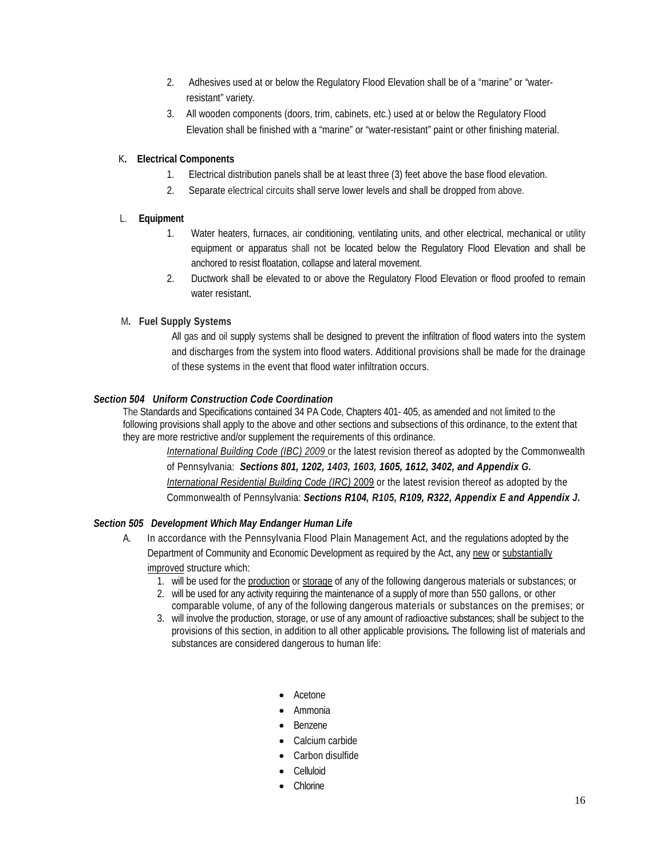- 2. Adhesives used at or below the Regulatory Flood Elevation shall be of a "marine" or "waterresistant" variety.
- 3. All wooden components (doors, trim, cabinets, etc.) used at or below the Regulatory Flood Elevation shall be finished with a "marine" or "water-resistant" paint or other finishing material.

#### K**. Electrical Components**

- 1. Electrical distribution panels shall be at least three (3) feet above the base flood elevation.
- 2. Separate electrical circuits shall serve lower levels and shall be dropped from above.

#### L. **Equipment**

- 1. Water heaters, furnaces, air conditioning, ventilating units, and other electrical, mechanical or utility equipment or apparatus shall not be located below the Regulatory Flood Elevation and shall be anchored to resist floatation, collapse and lateral movement.
- 2. Ductwork shall be elevated to or above the Regulatory Flood Elevation or flood proofed to remain water resistant.

#### M*.* **Fuel Supply Systems**

All gas and oil supply systems shall be designed to prevent the infiltration of flood waters into the system and discharges from the system into flood waters. Additional provisions shall be made for the drainage of these systems in the event that flood water infiltration occurs.

#### *Section 504 Uniform Construction Code Coordination*

The Standards and Specifications contained 34 PA Code, Chapters 401- 405, as amended and not limited to the following provisions shall apply to the above and other sections and subsections of this ordinance, to the extent that they are more restrictive and/or supplement the requirements of this ordinance.

*International Building Code (IBC) 2009* or the latest revision thereof as adopted by the Commonwealth of Pennsylvania: *Sections 801, 1202, 1403, 1603, 1605, 1612, 3402, and Appendix G. International Residential Building Code (IRC)* 2009 or the latest revision thereof as adopted by the Commonwealth of Pennsylvania: *Sections R104, R105, R109, R322, Appendix E and Appendix J.*

#### *Section 505 Development Which May Endanger Human Life*

- A. In accordance with the Pennsylvania Flood Plain Management Act, and the regulations adopted by the Department of Community and Economic Development as required by the Act, any new or substantially improved structure which:
	- 1. will be used for the production or storage of any of the following dangerous materials or substances; or
	- 2. will be used for any activity requiring the maintenance of a supply of more than 550 gallons, or other comparable volume, of any of the following dangerous materials or substances on the premises; or
	- 3. will involve the production, storage, or use of any amount of radioactive substances; shall be subject to the provisions of this section, in addition to all other applicable provisions*.* The following list of materials and substances are considered dangerous to human life:
		- Acetone
		- Ammonia
		- Benzene
		- Calcium carbide
		- Carbon disulfide
		- Celluloid
		- **Chlorine**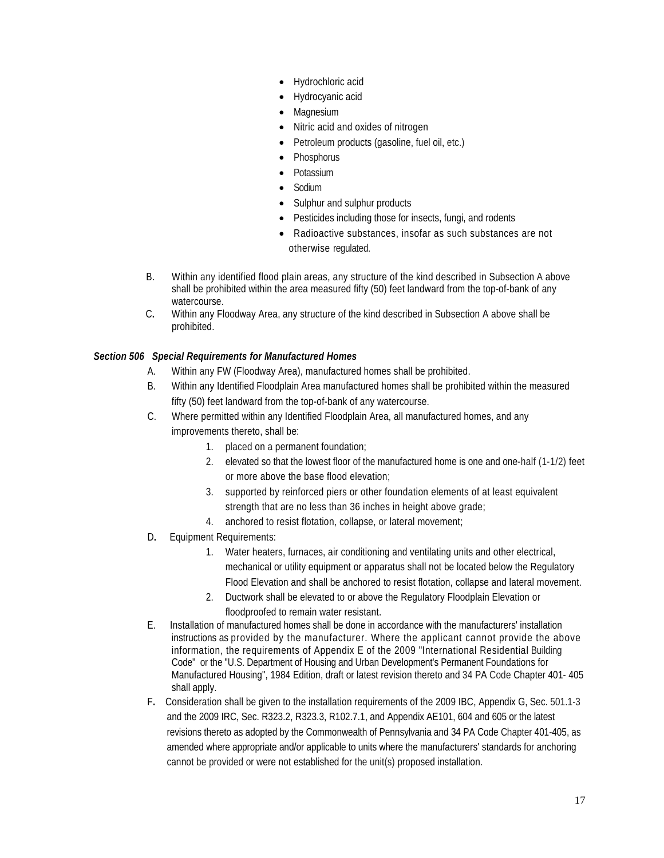- Hydrochloric acid
- Hydrocyanic acid
- **Magnesium**
- Nitric acid and oxides of nitrogen
- Petroleum products (gasoline, fuel oil, etc.)
- Phosphorus
- Potassium
- Sodium
- Sulphur and sulphur products
- Pesticides including those for insects, fungi, and rodents
- Radioactive substances, insofar as such substances are not otherwise regulated.
- B. Within any identified flood plain areas, any structure of the kind described in Subsection A above shall be prohibited within the area measured fifty (50) feet landward from the top-of-bank of any watercourse.
- C**.** Within any Floodway Area, any structure of the kind described in Subsection A above shall be prohibited.

#### *Section 506 Special Requirements for Manufactured Homes*

- A. Within any FW (Floodway Area), manufactured homes shall be prohibited.
- B. Within any Identified Floodplain Area manufactured homes shall be prohibited within the measured fifty (50) feet landward from the top-of-bank of any watercourse.
- C. Where permitted within any Identified Floodplain Area, all manufactured homes, and any improvements thereto, shall be:
	- 1. placed on a permanent foundation;
	- 2. elevated so that the lowest floor of the manufactured home is one and one-half (1-1/2) feet or more above the base flood elevation;
	- 3. supported by reinforced piers or other foundation elements of at least equivalent strength that are no less than 36 inches in height above grade;
	- 4. anchored to resist flotation, collapse, or lateral movement;
- D**.** Equipment Requirements:
	- 1. Water heaters, furnaces, air conditioning and ventilating units and other electrical, mechanical or utility equipment or apparatus shall not be located below the Regulatory Flood Elevation and shall be anchored to resist flotation, collapse and lateral movement.
	- 2. Ductwork shall be elevated to or above the Regulatory Floodplain Elevation or floodproofed to remain water resistant.
- E.Installation of manufactured homes shall be done in accordance with the manufacturers' installation instructions as provided by the manufacturer. Where the applicant cannot provide the above information, the requirements of Appendix E of the 2009 "International Residential Building Code" or the "U.S. Department of Housing and Urban Development's Permanent Foundations for Manufactured Housing", 1984 Edition, draft or latest revision thereto and 34 PA Code Chapter 401- 405 shall apply.
- F**.** Consideration shall be given to the installation requirements of the 2009 IBC, Appendix G, Sec. 501.1-3 and the 2009 IRC, Sec. R323.2, R323.3, R102.7.1, and Appendix AE101, 604 and 605 or the latest revisions thereto as adopted by the Commonwealth of Pennsylvania and 34 PA Code Chapter 401-405, as amended where appropriate and/or applicable to units where the manufacturers' standards for anchoring cannot be provided or were not established for the unit(s) proposed installation.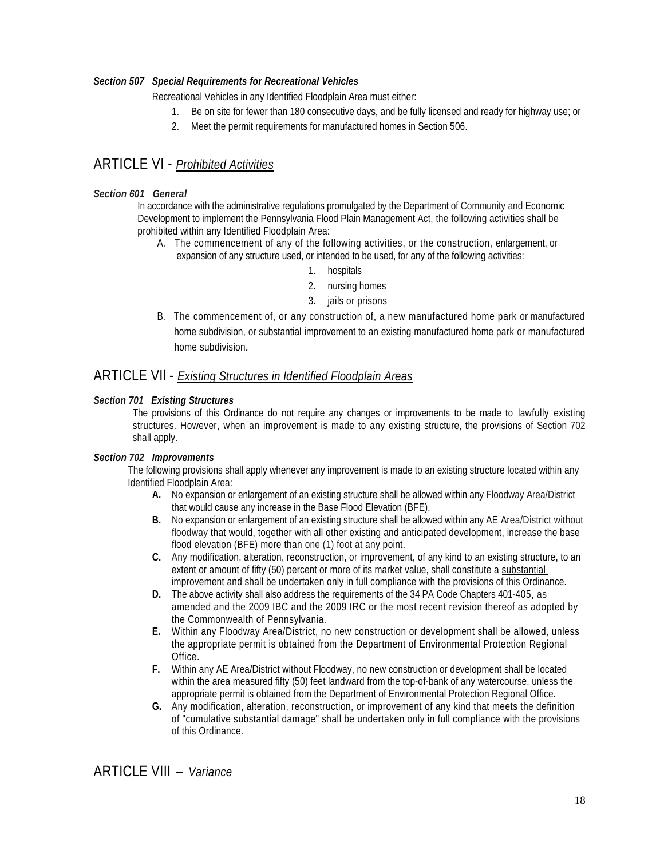#### *Section 507 Special Requirements for Recreational Vehicles*

Recreational Vehicles in any Identified Floodplain Area must either:

- 1. Be on site for fewer than 180 consecutive days, and be fully licensed and ready for highway use; or
- 2. Meet the permit requirements for manufactured homes in Section 506.

#### ARTICLE VI - *Prohibited Activities*

#### *Section 601 General*

In accordance with the administrative regulations promulgated by the Department of Community and Economic Development to implement the Pennsylvania Flood Plain Management Act, the following activities shall be prohibited within any Identified Floodplain Area:

- A. The commencement of any of the following activities, or the construction, enlargement, or expansion of any structure used, or intended to be used, for any of the following activities:
	- 1. hospitals
	- 2. nursing homes
	- 3. jails or prisons
- B. The commencement of, or any construction of, a new manufactured home park or manufactured home subdivision, or substantial improvement to an existing manufactured home park or manufactured home subdivision.

#### ARTICLE VIl - *Existing Structures in Identified Floodplain Areas*

#### *Section 701 Existing Structures*

The provisions of this Ordinance do not require any changes or improvements to be made to lawfully existing structures. However, when an improvement is made to any existing structure, the provisions of Section 702 shall apply.

#### *Section 702 Improvements*

The following provisions shall apply whenever any improvement is made to an existing structure located within any Identified Floodplain Area:

- **A.** No expansion or enlargement of an existing structure shall be allowed within any Floodway Area/District that would cause any increase in the Base Flood Elevation (BFE).
- **B.** No expansion or enlargement of an existing structure shall be allowed within any AE Area/District without floodway that would, together with all other existing and anticipated development, increase the base flood elevation (BFE) more than one (1) foot at any point.
- **C.** Any modification, alteration, reconstruction, or improvement, of any kind to an existing structure, to an extent or amount of fifty (50) percent or more of its market value, shall constitute a substantial improvement and shall be undertaken only in full compliance with the provisions of this Ordinance.
- **D.** The above activity shall also address the requirements of the 34 PA Code Chapters 401-405, as amended and the 2009 IBC and the 2009 IRC or the most recent revision thereof as adopted by the Commonwealth of Pennsylvania.
- **E.** Within any Floodway Area/District, no new construction or development shall be allowed, unless the appropriate permit is obtained from the Department of Environmental Protection Regional Office.
- **F.** Within any AE Area/District without Floodway, no new construction or development shall be located within the area measured fifty (50) feet landward from the top-of-bank of any watercourse, unless the appropriate permit is obtained from the Department of Environmental Protection Regional Office.
- **G.** Any modification, alteration, reconstruction, or improvement of any kind that meets the definition of "cumulative substantial damage" shall be undertaken only in full compliance with the provisions of this Ordinance.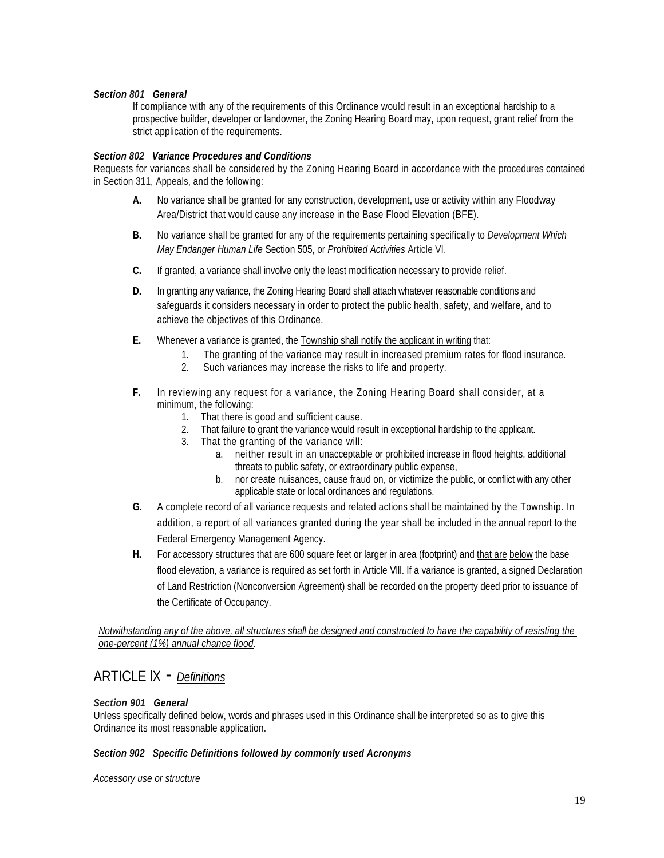#### *Section 801 General*

If compliance with any of the requirements of this Ordinance would result in an exceptional hardship to a prospective builder, developer or landowner, the Zoning Hearing Board may, upon request, grant relief from the strict application of the requirements.

#### *Section 802 Variance Procedures and Conditions*

Requests for variances shall be considered by the Zoning Hearing Board in accordance with the procedures contained in Section 311, Appeals, and the following:

- **A.** No variance shall be granted for any construction, development, use or activity within any Floodway Area/District that would cause any increase in the Base Flood Elevation (BFE).
- **B.** No variance shall be granted for any of the requirements pertaining specifically to *Development Which May Endanger Human Life* Section 505, or *Prohibited Activities* Article VI.
- **C.** If granted, a variance shall involve only the least modification necessary to provide relief.
- **D.** In granting any variance, the Zoning Hearing Board shall attach whatever reasonable conditions and safeguards it considers necessary in order to protect the public health, safety, and welfare, and to achieve the objectives of this Ordinance.
- **E.** Whenever a variance is granted, the Township shall notify the applicant in writing that:
	- 1. The granting of the variance may result in increased premium rates for flood insurance.
		- 2. Such variances may increase the risks to life and property.
- **F.** In reviewing any request for a variance, the Zoning Hearing Board shall consider, at a minimum, the following:
	- 1. That there is good and sufficient cause.
	- 2. That failure to grant the variance would result in exceptional hardship to the applicant.
	- 3. That the granting of the variance will:
		- a. neither result in an unacceptable or prohibited increase in flood heights, additional threats to public safety, or extraordinary public expense,
		- b. nor create nuisances, cause fraud on, or victimize the public, or conflict with any other applicable state or local ordinances and regulations.
- **G.** A complete record of all variance requests and related actions shall be maintained by the Township. In addition, a report of all variances granted during the year shall be included in the annual report to the Federal Emergency Management Agency.
- **H.** For accessory structures that are 600 square feet or larger in area (footprint) and that are below the base flood elevation, a variance is required as set forth in Article Vlll. If a variance is granted, a signed Declaration of Land Restriction (Nonconversion Agreement) shall be recorded on the property deed prior to issuance of the Certificate of Occupancy.

 *Notwithstanding any of the above, all structures shall be designed and constructed to have the capability of resisting the one-percent (1%) annual chance flood*.

#### ARTICLE lX - *Definitions*

#### *Section 901 General*

Unless specifically defined below, words and phrases used in this Ordinance shall be interpreted so as to give this Ordinance its most reasonable application.

#### *Section 902 Specific Definitions followed by commonly used Acronyms*

*Accessory use or structure*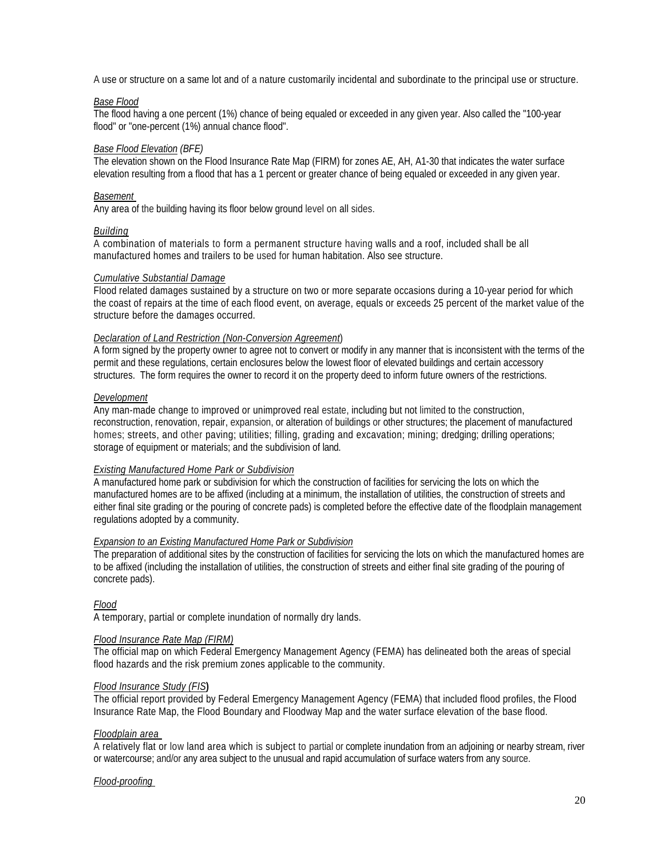A use or structure on a same lot and of a nature customarily incidental and subordinate to the principal use or structure.

#### *Base Flood*

The flood having a one percent (1%) chance of being equaled or exceeded in any given year. Also called the "100-year flood" or "one-percent (1%) annual chance flood".

#### *Base Flood Elevation (BFE)*

The elevation shown on the Flood Insurance Rate Map (FIRM) for zones AE, AH, A1-30 that indicates the water surface elevation resulting from a flood that has a 1 percent or greater chance of being equaled or exceeded in any given year.

#### *Basement*

Any area of the building having its floor below ground level on all sides.

#### *Building*

A combination of materials to form a permanent structure having walls and a roof, included shall be all manufactured homes and trailers to be used for human habitation. Also see structure.

#### *Cumulative Substantial Damage*

Flood related damages sustained by a structure on two or more separate occasions during a 10-year period for which the coast of repairs at the time of each flood event, on average, equals or exceeds 25 percent of the market value of the structure before the damages occurred.

#### *Declaration of Land Restriction (Non-Conversion Agreement*)

A form signed by the property owner to agree not to convert or modify in any manner that is inconsistent with the terms of the permit and these regulations, certain enclosures below the lowest floor of elevated buildings and certain accessory structures. The form requires the owner to record it on the property deed to inform future owners of the restrictions.

#### *Development*

Any man-made change to improved or unimproved real estate, including but not limited to the construction, reconstruction, renovation, repair, expansion, or alteration of buildings or other structures; the placement of manufactured homes; streets, and other paving; utilities; filling, grading and excavation; mining; dredging; drilling operations; storage of equipment or materials; and the subdivision of land.

#### *Existing Manufactured Home Park or Subdivision*

A manufactured home park or subdivision for which the construction of facilities for servicing the lots on which the manufactured homes are to be affixed (including at a minimum, the installation of utilities, the construction of streets and either final site grading or the pouring of concrete pads) is completed before the effective date of the floodplain management regulations adopted by a community.

#### *Expansion to an Existing Manufactured Home Park or Subdivision*

The preparation of additional sites by the construction of facilities for servicing the lots on which the manufactured homes are to be affixed (including the installation of utilities, the construction of streets and either final site grading of the pouring of concrete pads).

#### *Flood*

A temporary, partial or complete inundation of normally dry lands.

#### *Flood Insurance Rate Map (FIRM)*

The official map on which Federal Emergency Management Agency (FEMA) has delineated both the areas of special flood hazards and the risk premium zones applicable to the community.

#### *Flood Insurance Study (FIS***)**

The official report provided by Federal Emergency Management Agency (FEMA) that included flood profiles, the Flood Insurance Rate Map, the Flood Boundary and Floodway Map and the water surface elevation of the base flood.

#### *Floodplain area*

A relatively flat or low land area which is subject to partial or complete inundation from an adjoining or nearby stream, river or watercourse; and/or any area subject to the unusual and rapid accumulation of surface waters from any source.

#### *Flood-proofing*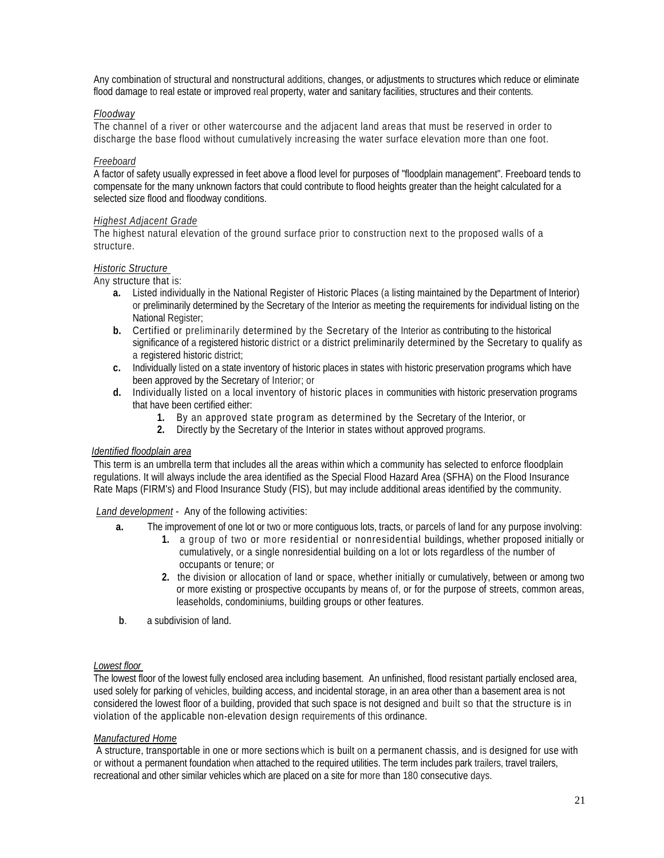Any combination of structural and nonstructural additions, changes, or adjustments to structures which reduce or eliminate flood damage to real estate or improved real property, water and sanitary facilities, structures and their contents.

#### *Floodway*

The channel of a river or other watercourse and the adjacent land areas that must be reserved in order to discharge the base flood without cumulatively increasing the water surface elevation more than one foot.

#### *Freeboard*

A factor of safety usually expressed in feet above a flood level for purposes of "floodplain management". Freeboard tends to compensate for the many unknown factors that could contribute to flood heights greater than the height calculated for a selected size flood and floodway conditions.

#### *Highest Adjacent Grade*

The highest natural elevation of the ground surface prior to construction next to the proposed walls of a structure.

#### *Historic Structure*

Any structure that is:

- **a.** Listed individually in the National Register of Historic Places (a listing maintained by the Department of Interior) or preliminarily determined by the Secretary of the Interior as meeting the requirements for individual listing on the National Register;
- **b.** Certified or preliminarily determined by the Secretary of the Interior as contributing to the historical significance of a registered historic district or a district preliminarily determined by the Secretary to qualify as a registered historic district;
- **c.** Individually listed on a state inventory of historic places in states with historic preservation programs which have been approved by the Secretary of Interior; or
- **d.** Individually listed on a local inventory of historic places in communities with historic preservation programs that have been certified either:
	- **1.** By an approved state program as determined by the Secretary of the Interior, or
	- **2.** Directly by the Secretary of the Interior in states without approved programs.

#### *Identified floodplain area*

This term is an umbrella term that includes all the areas within which a community has selected to enforce floodplain regulations. It will always include the area identified as the Special Flood Hazard Area (SFHA) on the Flood Insurance Rate Maps (FIRM's) and Flood Insurance Study (FIS), but may include additional areas identified by the community.

*Land development* - Any of the following activities:

- **a.** The improvement of one lot or two or more contiguous lots, tracts, or parcels of land for any purpose involving:
	- **1.** a group of two or more residential or nonresidential buildings, whether proposed initially or cumulatively, or a single nonresidential building on a lot or lots regardless of the number of occupants or tenure; or
	- **2.** the division or allocation of land or space, whether initially or cumulatively, between or among two or more existing or prospective occupants by means of, or for the purpose of streets, common areas, leaseholds, condominiums, building groups or other features.
- **b**. a subdivision of land.

#### *Lowest floor*

The lowest floor of the lowest fully enclosed area including basement. An unfinished, flood resistant partially enclosed area, used solely for parking of vehicles, building access, and incidental storage, in an area other than a basement area is not considered the lowest floor of a building, provided that such space is not designed and built so that the structure is in violation of the applicable non-elevation design requirements of this ordinance.

#### *Manufactured Home*

A structure, transportable in one or more sections which is built on a permanent chassis, and is designed for use with or without a permanent foundation when attached to the required utilities. The term includes park trailers, travel trailers, recreational and other similar vehicles which are placed on a site for more than 180 consecutive days.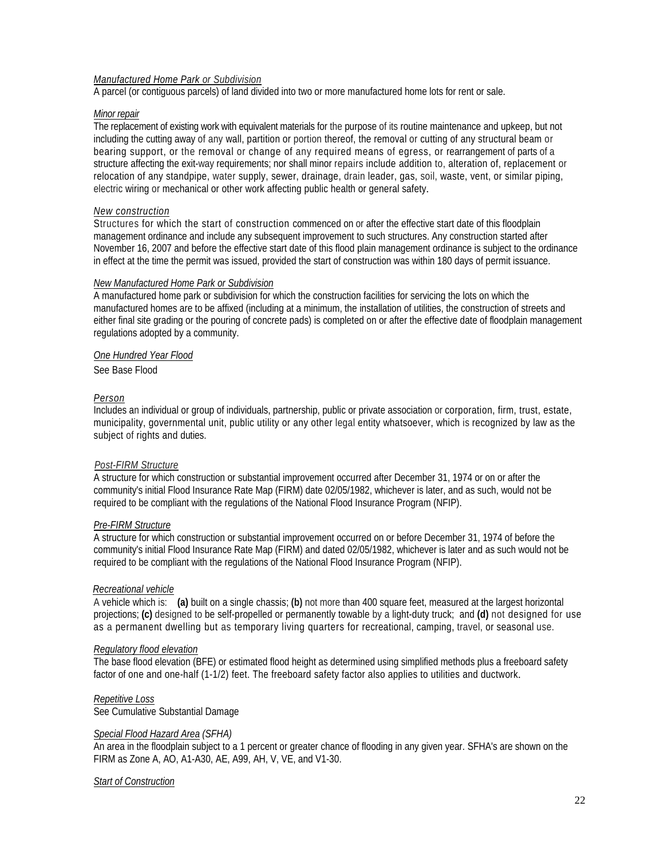#### *Manufactured Home Park or Subdivision*

A parcel (or contiguous parcels) of land divided into two or more manufactured home lots for rent or sale.

#### *Minor repair*

The replacement of existing work with equivalent materials for the purpose of its routine maintenance and upkeep, but not including the cutting away of any wall, partition or portion thereof, the removal or cutting of any structural beam or bearing support, or the removal or change of any required means of egress, or rearrangement of parts of a structure affecting the exit-way requirements; nor shall minor repairs include addition to, alteration of, replacement or relocation of any standpipe, water supply, sewer, drainage, drain leader, gas, soil, waste, vent, or similar piping, electric wiring or mechanical or other work affecting public health or general safety.

#### *New construction*

Structures for which the start of construction commenced on or after the effective start date of this floodplain management ordinance and include any subsequent improvement to such structures. Any construction started after November 16, 2007 and before the effective start date of this flood plain management ordinance is subject to the ordinance in effect at the time the permit was issued, provided the start of construction was within 180 days of permit issuance.

#### *New Manufactured Home Park or Subdivision*

A manufactured home park or subdivision for which the construction facilities for servicing the lots on which the manufactured homes are to be affixed (including at a minimum, the installation of utilities, the construction of streets and either final site grading or the pouring of concrete pads) is completed on or after the effective date of floodplain management regulations adopted by a community.

#### *One Hundred Year Flood*

See Base Flood

#### *Person*

Includes an individual or group of individuals, partnership, public or private association or corporation, firm, trust, estate, municipality, governmental unit, public utility or any other legal entity whatsoever, which is recognized by law as the subject of rights and duties.

#### *Post-FIRM Structure*

A structure for which construction or substantial improvement occurred after December 31, 1974 or on or after the community's initial Flood Insurance Rate Map (FIRM) date 02/05/1982, whichever is later, and as such, would not be required to be compliant with the regulations of the National Flood Insurance Program (NFIP).

#### *Pre-FIRM Structure*

A structure for which construction or substantial improvement occurred on or before December 31, 1974 of before the community's initial Flood Insurance Rate Map (FIRM) and dated 02/05/1982, whichever is later and as such would not be required to be compliant with the regulations of the National Flood Insurance Program (NFIP).

#### *Recreational vehicle*

A vehicle which is: **(a)** built on a single chassis; **(b)** not more than 400 square feet, measured at the largest horizontal projections; **(c)** designed to be self-propelled or permanently towable by a light-duty truck; and **(d)** not designed for use as a permanent dwelling but as temporary living quarters for recreational, camping, travel, or seasonal use.

#### *Regulatory flood elevation*

The base flood elevation (BFE) or estimated flood height as determined using simplified methods plus a freeboard safety factor of one and one-half (1-1/2) feet. The freeboard safety factor also applies to utilities and ductwork.

#### *Repetitive Loss*

See Cumulative Substantial Damage

#### *Special Flood Hazard Area (SFHA)*

An area in the floodplain subject to a 1 percent or greater chance of flooding in any given year. SFHA's are shown on the FIRM as Zone A, AO, A1-A30, AE, A99, AH, V, VE, and V1-30.

#### *Start of Construction*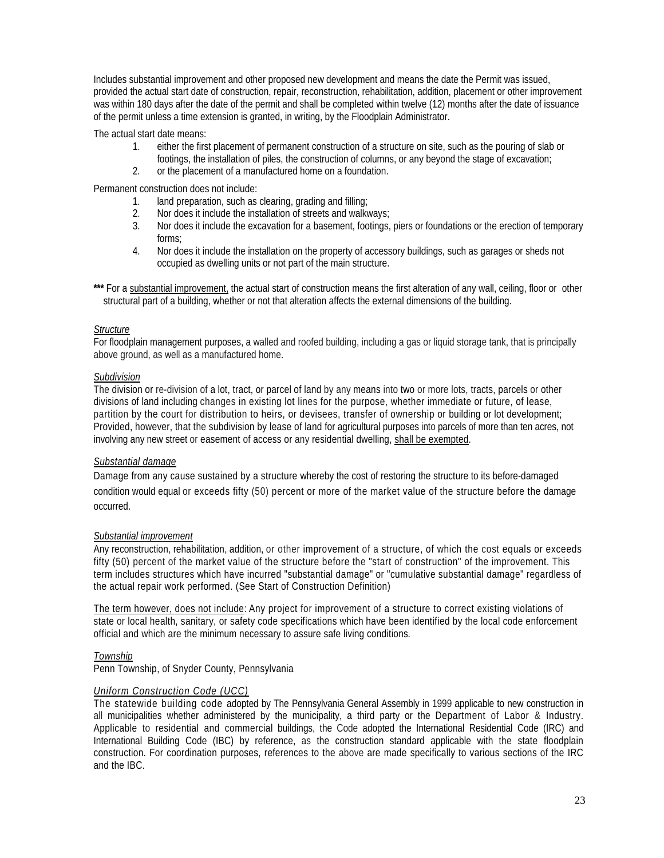Includes substantial improvement and other proposed new development and means the date the Permit was issued, provided the actual start date of construction, repair, reconstruction, rehabilitation, addition, placement or other improvement was within 180 days after the date of the permit and shall be completed within twelve (12) months after the date of issuance of the permit unless a time extension is granted, in writing, by the Floodplain Administrator.

The actual start date means:

- 1. either the first placement of permanent construction of a structure on site, such as the pouring of slab or footings, the installation of piles, the construction of columns, or any beyond the stage of excavation;
- 2. or the placement of a manufactured home on a foundation.

Permanent construction does not include:

- 1. land preparation, such as clearing, grading and filling;
- 2. Nor does it include the installation of streets and walkways;
- 3. Nor does it include the excavation for a basement, footings, piers or foundations or the erection of temporary forms;
- 4. Nor does it include the installation on the property of accessory buildings, such as garages or sheds not occupied as dwelling units or not part of the main structure.
- \*\*\* For a substantial improvement, the actual start of construction means the first alteration of any wall, ceiling, floor or other structural part of a building, whether or not that alteration affects the external dimensions of the building.

#### *Structure*

For floodplain management purposes, a walled and roofed building, including a gas or liquid storage tank, that is principally above ground, as well as a manufactured home.

#### *Subdivision*

The division or re-division of a lot, tract, or parcel of land by any means into two or more lots, tracts, parcels or other divisions of land including changes in existing lot lines for the purpose, whether immediate or future, of lease, partition by the court for distribution to heirs, or devisees, transfer of ownership or building or lot development; Provided, however, that the subdivision by lease of land for agricultural purposes into parcels of more than ten acres, not involving any new street or easement of access or any residential dwelling, shall be exempted.

#### *Substantial damage*

Damage from any cause sustained by a structure whereby the cost of restoring the structure to its before-damaged condition would equal or exceeds fifty (50) percent or more of the market value of the structure before the damage occurred.

#### *Substantial improvement*

Any reconstruction, rehabilitation, addition, or other improvement of a structure, of which the cost equals or exceeds fifty (50) percent of the market value of the structure before the "start of construction" of the improvement. This term includes structures which have incurred "substantial damage" or "cumulative substantial damage" regardless of the actual repair work performed. (See Start of Construction Definition)

The term however, does not include: Any project for improvement of a structure to correct existing violations of state or local health, sanitary, or safety code specifications which have been identified by the local code enforcement official and which are the minimum necessary to assure safe living conditions.

#### *Township*

Penn Township, of Snyder County, Pennsylvania

#### *Uniform Construction Code (UCC)*

The statewide building code adopted by The Pennsylvania General Assembly in 1999 applicable to new construction in all municipalities whether administered by the municipality, a third party or the Department of Labor & Industry. Applicable to residential and commercial buildings, the Code adopted the International Residential Code (IRC) and International Building Code (IBC) by reference, as the construction standard applicable with the state floodplain construction. For coordination purposes, references to the above are made specifically to various sections of the IRC and the IBC.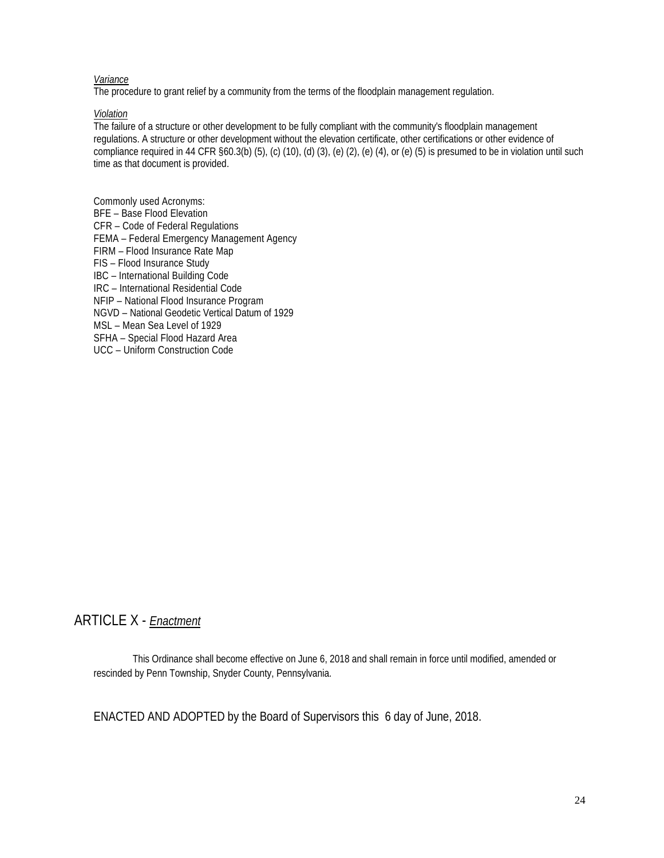#### *Variance*

The procedure to grant relief by a community from the terms of the floodplain management regulation.

*Violation*

The failure of a structure or other development to be fully compliant with the community's floodplain management regulations. A structure or other development without the elevation certificate, other certifications or other evidence of compliance required in 44 CFR §60.3(b) (5), (c) (10), (d) (3), (e) (2), (e) (4), or (e) (5) is presumed to be in violation until such time as that document is provided.

Commonly used Acronyms: BFE – Base Flood Elevation CFR – Code of Federal Regulations FEMA – Federal Emergency Management Agency FIRM – Flood Insurance Rate Map FIS – Flood Insurance Study IBC – International Building Code IRC – International Residential Code NFIP – National Flood Insurance Program NGVD – National Geodetic Vertical Datum of 1929 MSL – Mean Sea Level of 1929 SFHA – Special Flood Hazard Area UCC – Uniform Construction Code

#### ARTICLE X - *Enactment*

This Ordinance shall become effective on June 6, 2018 and shall remain in force until modified, amended or rescinded by Penn Township, Snyder County, Pennsylvania.

ENACTED AND ADOPTED by the Board of Supervisors this 6 day of June, 2018.